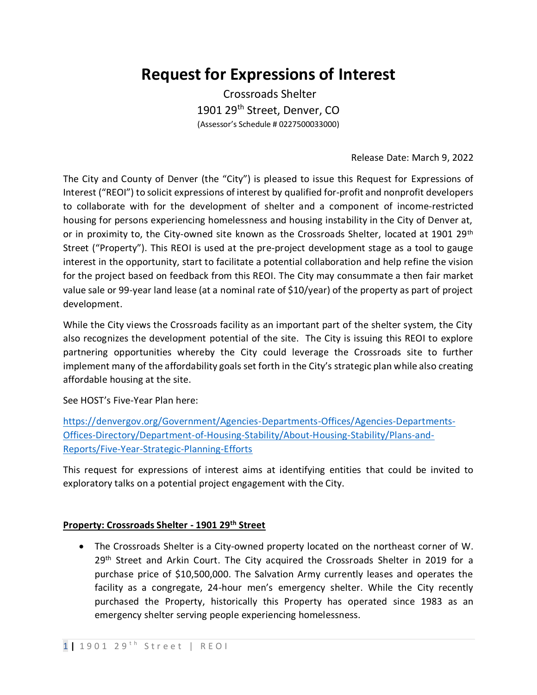# **Request for Expressions of Interest**

Crossroads Shelter 1901 29<sup>th</sup> Street, Denver, CO (Assessor's Schedule # 0227500033000)

## Release Date: March 9, 2022

The City and County of Denver (the "City") is pleased to issue this Request for Expressions of Interest ("REOI") to solicit expressions of interest by qualified for-profit and nonprofit developers to collaborate with for the development of shelter and a component of income-restricted housing for persons experiencing homelessness and housing instability in the City of Denver at, or in proximity to, the City-owned site known as the Crossroads Shelter, located at 1901 29<sup>th</sup> Street ("Property"). This REOI is used at the pre-project development stage as a tool to gauge interest in the opportunity, start to facilitate a potential collaboration and help refine the vision for the project based on feedback from this REOI. The City may consummate a then fair market value sale or 99-year land lease (at a nominal rate of \$10/year) of the property as part of project development.

While the City views the Crossroads facility as an important part of the shelter system, the City also recognizes the development potential of the site. The City is issuing this REOI to explore partnering opportunities whereby the City could leverage the Crossroads site to further implement many of the affordability goals set forth in the City's strategic plan while also creating affordable housing at the site.

See HOST's Five-Year Plan here:

[https://denvergov.org/Government/Agencies-Departments-Offices/Agencies-Departments-](https://denvergov.org/Government/Agencies-Departments-Offices/Agencies-Departments-Offices-Directory/Department-of-Housing-Stability/About-Housing-Stability/Plans-and-Reports/Five-Year-Strategic-Planning-Efforts)[Offices-Directory/Department-of-Housing-Stability/About-Housing-Stability/Plans-and-](https://denvergov.org/Government/Agencies-Departments-Offices/Agencies-Departments-Offices-Directory/Department-of-Housing-Stability/About-Housing-Stability/Plans-and-Reports/Five-Year-Strategic-Planning-Efforts)[Reports/Five-Year-Strategic-Planning-Efforts](https://denvergov.org/Government/Agencies-Departments-Offices/Agencies-Departments-Offices-Directory/Department-of-Housing-Stability/About-Housing-Stability/Plans-and-Reports/Five-Year-Strategic-Planning-Efforts)

This request for expressions of interest aims at identifying entities that could be invited to exploratory talks on a potential project engagement with the City.

## **Property: Crossroads Shelter - 1901 29th Street**

• The Crossroads Shelter is a City-owned property located on the northeast corner of W. 29<sup>th</sup> Street and Arkin Court. The City acquired the Crossroads Shelter in 2019 for a purchase price of \$10,500,000. The Salvation Army currently leases and operates the facility as a congregate, 24-hour men's emergency shelter. While the City recently purchased the Property, historically this Property has operated since 1983 as an emergency shelter serving people experiencing homelessness.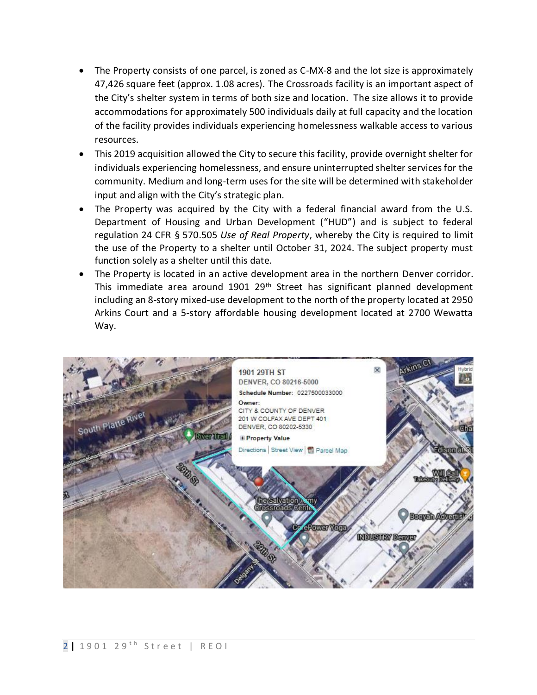- The Property consists of one parcel, is zoned as C-MX-8 and the lot size is approximately 47,426 square feet (approx. 1.08 acres). The Crossroads facility is an important aspect of the City's shelter system in terms of both size and location. The size allows it to provide accommodations for approximately 500 individuals daily at full capacity and the location of the facility provides individuals experiencing homelessness walkable access to various resources.
- This 2019 acquisition allowed the City to secure this facility, provide overnight shelter for individuals experiencing homelessness, and ensure uninterrupted shelter services for the community. Medium and long-term uses for the site will be determined with stakeholder input and align with the City's strategic plan.
- The Property was acquired by the City with a federal financial award from the U.S. Department of Housing and Urban Development ("HUD") and is subject to federal regulation 24 CFR § 570.505 *Use of Real Property*, whereby the City is required to limit the use of the Property to a shelter until October 31, 2024. The subject property must function solely as a shelter until this date.
- The Property is located in an active development area in the northern Denver corridor. This immediate area around 1901 29<sup>th</sup> Street has significant planned development including an 8-story mixed-use development to the north of the property located at 2950 Arkins Court and a 5-story affordable housing development located at 2700 Wewatta Way.

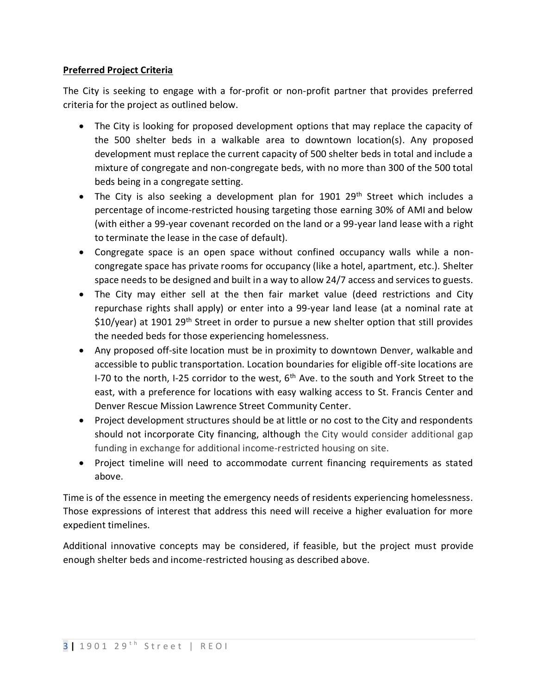# **Preferred Project Criteria**

The City is seeking to engage with a for-profit or non-profit partner that provides preferred criteria for the project as outlined below.

- The City is looking for proposed development options that may replace the capacity of the 500 shelter beds in a walkable area to downtown location(s). Any proposed development must replace the current capacity of 500 shelter beds in total and include a mixture of congregate and non-congregate beds, with no more than 300 of the 500 total beds being in a congregate setting.
- The City is also seeking a development plan for  $1901$   $29<sup>th</sup>$  Street which includes a percentage of income-restricted housing targeting those earning 30% of AMI and below (with either a 99-year covenant recorded on the land or a 99-year land lease with a right to terminate the lease in the case of default).
- Congregate space is an open space without confined occupancy walls while a noncongregate space has private rooms for occupancy (like a hotel, apartment, etc.). Shelter space needs to be designed and built in a way to allow 24/7 access and services to guests.
- The City may either sell at the then fair market value (deed restrictions and City repurchase rights shall apply) or enter into a 99-year land lease (at a nominal rate at \$10/year) at 1901 29<sup>th</sup> Street in order to pursue a new shelter option that still provides the needed beds for those experiencing homelessness.
- Any proposed off-site location must be in proximity to downtown Denver, walkable and accessible to public transportation. Location boundaries for eligible off-site locations are I-70 to the north, I-25 corridor to the west,  $6<sup>th</sup>$  Ave. to the south and York Street to the east, with a preference for locations with easy walking access to St. Francis Center and Denver Rescue Mission Lawrence Street Community Center.
- Project development structures should be at little or no cost to the City and respondents should not incorporate City financing, although the City would consider additional gap funding in exchange for additional income-restricted housing on site.
- Project timeline will need to accommodate current financing requirements as stated above.

Time is of the essence in meeting the emergency needs of residents experiencing homelessness. Those expressions of interest that address this need will receive a higher evaluation for more expedient timelines.

Additional innovative concepts may be considered, if feasible, but the project must provide enough shelter beds and income-restricted housing as described above.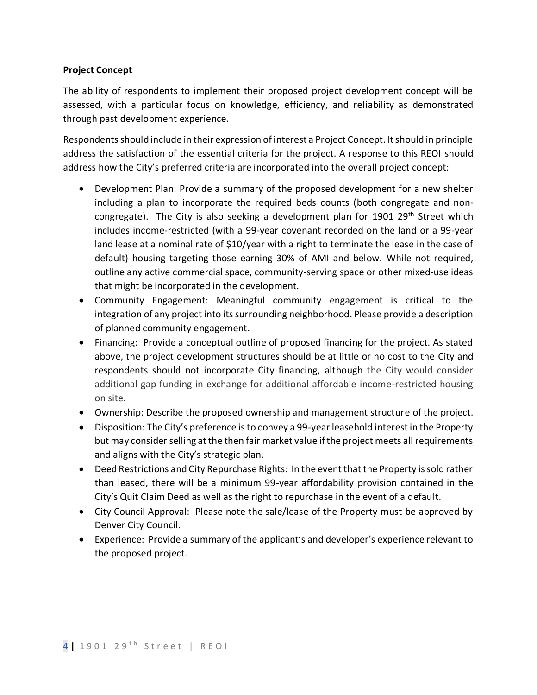## **Project Concept**

The ability of respondents to implement their proposed project development concept will be assessed, with a particular focus on knowledge, efficiency, and reliability as demonstrated through past development experience.

Respondents should include in their expression of interest a Project Concept. It should in principle address the satisfaction of the essential criteria for the project. A response to this REOI should address how the City's preferred criteria are incorporated into the overall project concept:

- Development Plan: Provide a summary of the proposed development for a new shelter including a plan to incorporate the required beds counts (both congregate and noncongregate). The City is also seeking a development plan for 1901 29<sup>th</sup> Street which includes income-restricted (with a 99-year covenant recorded on the land or a 99-year land lease at a nominal rate of \$10/year with a right to terminate the lease in the case of default) housing targeting those earning 30% of AMI and below. While not required, outline any active commercial space, community-serving space or other mixed-use ideas that might be incorporated in the development.
- Community Engagement: Meaningful community engagement is critical to the integration of any project into its surrounding neighborhood. Please provide a description of planned community engagement.
- Financing: Provide a conceptual outline of proposed financing for the project. As stated above, the project development structures should be at little or no cost to the City and respondents should not incorporate City financing, although the City would consider additional gap funding in exchange for additional affordable income-restricted housing on site.
- Ownership: Describe the proposed ownership and management structure of the project.
- Disposition: The City's preference is to convey a 99-year leasehold interest in the Property but may consider selling at the then fair market value if the project meets all requirements and aligns with the City's strategic plan.
- Deed Restrictions and City Repurchase Rights: In the event that the Property is sold rather than leased, there will be a minimum 99-year affordability provision contained in the City's Quit Claim Deed as well as the right to repurchase in the event of a default.
- City Council Approval: Please note the sale/lease of the Property must be approved by Denver City Council.
- Experience: Provide a summary of the applicant's and developer's experience relevant to the proposed project.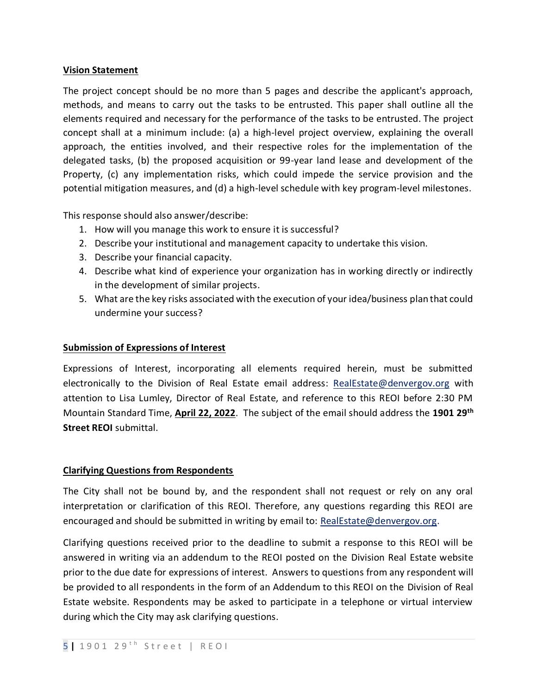## **Vision Statement**

The project concept should be no more than 5 pages and describe the applicant's approach, methods, and means to carry out the tasks to be entrusted. This paper shall outline all the elements required and necessary for the performance of the tasks to be entrusted. The project concept shall at a minimum include: (a) a high-level project overview, explaining the overall approach, the entities involved, and their respective roles for the implementation of the delegated tasks, (b) the proposed acquisition or 99-year land lease and development of the Property, (c) any implementation risks, which could impede the service provision and the potential mitigation measures, and (d) a high-level schedule with key program-level milestones.

This response should also answer/describe:

- 1. How will you manage this work to ensure it is successful?
- 2. Describe your institutional and management capacity to undertake this vision.
- 3. Describe your financial capacity.
- 4. Describe what kind of experience your organization has in working directly or indirectly in the development of similar projects.
- 5. What are the key risks associated with the execution of your idea/business plan that could undermine your success?

## **Submission of Expressions of Interest**

Expressions of Interest, incorporating all elements required herein, must be submitted electronically to the Division of Real Estate email address: RealEstate@denvergov.org with attention to Lisa Lumley, Director of Real Estate, and reference to this REOI before 2:30 PM Mountain Standard Time, **April 22, 2022**. The subject of the email should address the **1901 29th Street REOI** submittal.

## **Clarifying Questions from Respondents**

The City shall not be bound by, and the respondent shall not request or rely on any oral interpretation or clarification of this REOI. Therefore, any questions regarding this REOI are encouraged and should be submitted in writing by email to: [RealEstate@denvergov.org.](mailto:RealEstate@denvergov.org)

Clarifying questions received prior to the deadline to submit a response to this REOI will be answered in writing via an addendum to the REOI posted on the Division Real Estate website prior to the due date for expressions of interest. Answers to questions from any respondent will be provided to all respondents in the form of an Addendum to this REOI on the Division of Real Estate website. Respondents may be asked to participate in a telephone or virtual interview during which the City may ask clarifying questions.